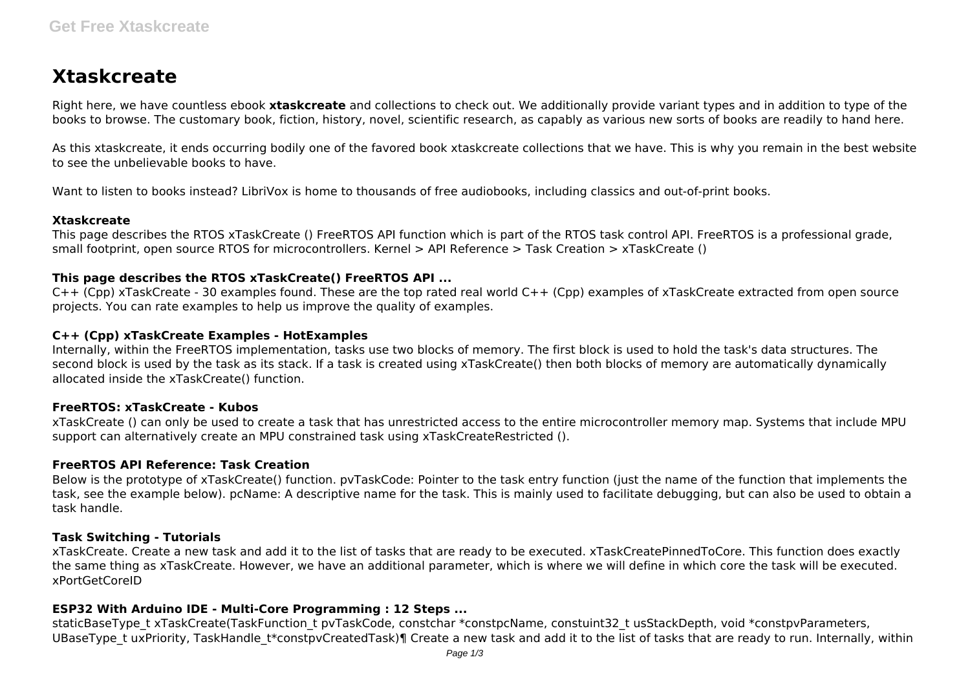# **Xtaskcreate**

Right here, we have countless ebook **xtaskcreate** and collections to check out. We additionally provide variant types and in addition to type of the books to browse. The customary book, fiction, history, novel, scientific research, as capably as various new sorts of books are readily to hand here.

As this xtaskcreate, it ends occurring bodily one of the favored book xtaskcreate collections that we have. This is why you remain in the best website to see the unbelievable books to have.

Want to listen to books instead? LibriVox is home to thousands of free audiobooks, including classics and out-of-print books.

## **Xtaskcreate**

This page describes the RTOS xTaskCreate () FreeRTOS API function which is part of the RTOS task control API. FreeRTOS is a professional grade, small footprint, open source RTOS for microcontrollers. Kernel > API Reference > Task Creation > xTaskCreate ()

# **This page describes the RTOS xTaskCreate() FreeRTOS API ...**

C++ (Cpp) xTaskCreate - 30 examples found. These are the top rated real world C++ (Cpp) examples of xTaskCreate extracted from open source projects. You can rate examples to help us improve the quality of examples.

# **C++ (Cpp) xTaskCreate Examples - HotExamples**

Internally, within the FreeRTOS implementation, tasks use two blocks of memory. The first block is used to hold the task's data structures. The second block is used by the task as its stack. If a task is created using xTaskCreate() then both blocks of memory are automatically dynamically allocated inside the xTaskCreate() function.

# **FreeRTOS: xTaskCreate - Kubos**

xTaskCreate () can only be used to create a task that has unrestricted access to the entire microcontroller memory map. Systems that include MPU support can alternatively create an MPU constrained task using xTaskCreateRestricted ().

# **FreeRTOS API Reference: Task Creation**

Below is the prototype of xTaskCreate() function. pvTaskCode: Pointer to the task entry function (just the name of the function that implements the task, see the example below). pcName: A descriptive name for the task. This is mainly used to facilitate debugging, but can also be used to obtain a task handle.

# **Task Switching - Tutorials**

xTaskCreate. Create a new task and add it to the list of tasks that are ready to be executed. xTaskCreatePinnedToCore. This function does exactly the same thing as xTaskCreate. However, we have an additional parameter, which is where we will define in which core the task will be executed. xPortGetCoreID

# **ESP32 With Arduino IDE - Multi-Core Programming : 12 Steps ...**

staticBaseType\_t xTaskCreate(TaskFunction\_t pvTaskCode, constchar \*constpcName, constuint32\_t usStackDepth, void \*constpvParameters, UBaseType t uxPriority, TaskHandle t\*constpvCreatedTask)¶ Create a new task and add it to the list of tasks that are ready to run. Internally, within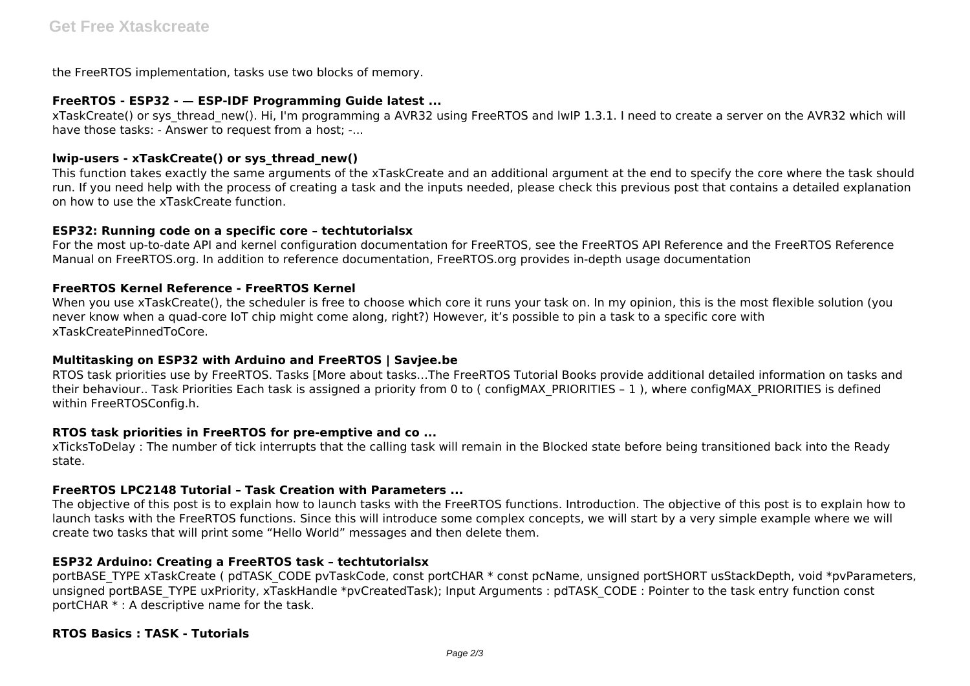the FreeRTOS implementation, tasks use two blocks of memory.

### **FreeRTOS - ESP32 - — ESP-IDF Programming Guide latest ...**

xTaskCreate() or sys\_thread\_new(). Hi, I'm programming a AVR32 using FreeRTOS and lwIP 1.3.1. I need to create a server on the AVR32 which will have those tasks: - Answer to request from a host: -...

## **lwip-users - xTaskCreate() or sys\_thread\_new()**

This function takes exactly the same arguments of the xTaskCreate and an additional argument at the end to specify the core where the task should run. If you need help with the process of creating a task and the inputs needed, please check this previous post that contains a detailed explanation on how to use the xTaskCreate function.

#### **ESP32: Running code on a specific core – techtutorialsx**

For the most up-to-date API and kernel configuration documentation for FreeRTOS, see the FreeRTOS API Reference and the FreeRTOS Reference Manual on FreeRTOS.org. In addition to reference documentation, FreeRTOS.org provides in-depth usage documentation

#### **FreeRTOS Kernel Reference - FreeRTOS Kernel**

When you use xTaskCreate(), the scheduler is free to choose which core it runs your task on. In my opinion, this is the most flexible solution (you never know when a quad-core IoT chip might come along, right?) However, it's possible to pin a task to a specific core with xTaskCreatePinnedToCore.

## **Multitasking on ESP32 with Arduino and FreeRTOS | Savjee.be**

RTOS task priorities use by FreeRTOS. Tasks [More about tasks…The FreeRTOS Tutorial Books provide additional detailed information on tasks and their behaviour.. Task Priorities Each task is assigned a priority from 0 to (configMAX\_PRIORITIES - 1), where configMAX\_PRIORITIES is defined within FreeRTOSConfig.h.

#### **RTOS task priorities in FreeRTOS for pre-emptive and co ...**

xTicksToDelay : The number of tick interrupts that the calling task will remain in the Blocked state before being transitioned back into the Ready state.

## **FreeRTOS LPC2148 Tutorial – Task Creation with Parameters ...**

The objective of this post is to explain how to launch tasks with the FreeRTOS functions. Introduction. The objective of this post is to explain how to launch tasks with the FreeRTOS functions. Since this will introduce some complex concepts, we will start by a very simple example where we will create two tasks that will print some "Hello World" messages and then delete them.

## **ESP32 Arduino: Creating a FreeRTOS task – techtutorialsx**

portBASE\_TYPE xTaskCreate ( pdTASK\_CODE pvTaskCode, const portCHAR \* const pcName, unsigned portSHORT usStackDepth, void \*pvParameters, unsigned portBASE\_TYPE uxPriority, xTaskHandle \*pvCreatedTask); Input Arguments : pdTASK\_CODE : Pointer to the task entry function const portCHAR \* : A descriptive name for the task.

#### **RTOS Basics : TASK - Tutorials**